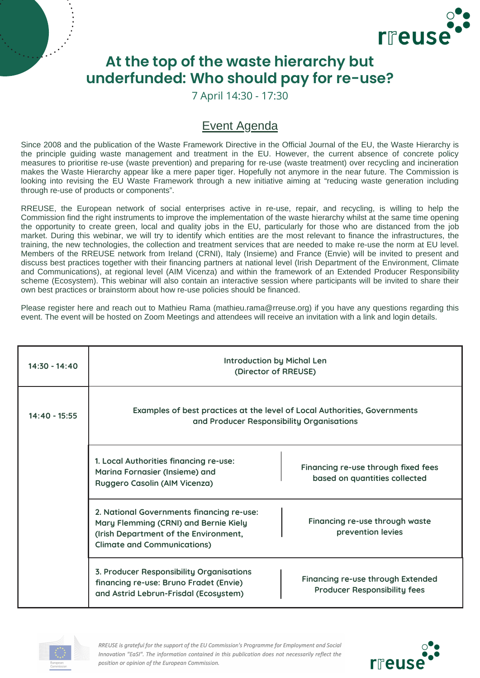

## **At the top of the waste hierarchy but underfunded: Who should pay for re-use?**

7 April 14:30 - 17:30

## Event Agenda

Since 2008 and the publication of the Waste Framework Directive in the Official Journal of the EU, the Waste Hierarchy is the principle guiding waste management and treatment in the EU. However, the current absence of concrete policy measures to prioritise re-use (waste prevention) and preparing for re-use (waste treatment) over recycling and incineration makes the Waste Hierarchy appear like a mere paper tiger. Hopefully not anymore in the near future. The Commission is looking into revising the EU Waste Framework through a new initiative aiming at "reducing waste generation including through re-use of products or components".

RREUSE, the European network of social enterprises active in re-use, repair, and recycling, is willing to help the Commission find the right instruments to improve the implementation of the waste hierarchy whilst at the same time opening the opportunity to create green, local and quality jobs in the EU, particularly for those who are distanced from the job market. During this webinar, we will try to identify which entities are the most relevant to finance the infrastructures, the training, the new technologies, the collection and treatment services that are needed to make re-use the norm at EU level. Members of the RREUSE network from Ireland (CRNI), Italy (Insieme) and France (Envie) will be invited to present and discuss best practices together with their financing partners at national level (Irish Department of the Environment, Climate and Communications), at regional level (AIM Vicenza) and within the framework of an Extended Producer Responsibility scheme (Ecosystem). This webinar will also contain an interactive session where participants will be invited to share their own best practices or brainstorm about how re-use policies should be financed.

Please register here and reach out to Mathieu Rama [\(mathieu.rama@rreuse.org\)](mailto:mathieu.rama@rreuse.org) if you have any questions regarding this event. The event will be hosted on Zoom Meetings and attendees will receive an invitation with a link and login details.

| $14:30 - 14:40$ | <b>Introduction by Michal Len</b><br>(Director of RREUSE)                                                                                                         |                                                                          |
|-----------------|-------------------------------------------------------------------------------------------------------------------------------------------------------------------|--------------------------------------------------------------------------|
| $14:40 - 15:55$ | Examples of best practices at the level of Local Authorities, Governments<br>and Producer Responsibility Organisations                                            |                                                                          |
|                 | 1. Local Authorities financing re-use:<br>Marina Fornasier (Insieme) and<br>Ruggero Casolin (AIM Vicenza)                                                         | Financing re-use through fixed fees<br>based on quantities collected     |
|                 | 2. National Governments financing re-use:<br>Mary Flemming (CRNI) and Bernie Kiely<br>(Irish Department of the Environment,<br><b>Climate and Communications)</b> | Financing re-use through waste<br>prevention levies                      |
|                 | 3. Producer Responsibility Organisations<br>financing re-use: Bruno Fradet (Envie)<br>and Astrid Lebrun-Frisdal (Ecosystem)                                       | Financing re-use through Extended<br><b>Producer Responsibility fees</b> |